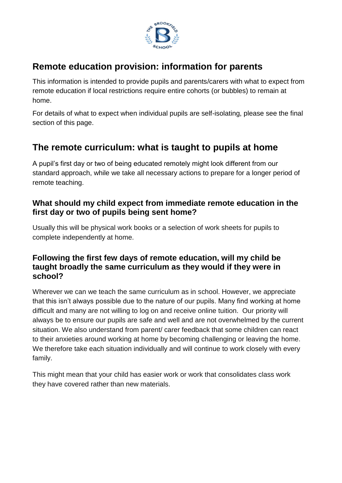

## **Remote education provision: information for parents**

This information is intended to provide pupils and parents/carers with what to expect from remote education if local restrictions require entire cohorts (or bubbles) to remain at home.

For details of what to expect when individual pupils are self-isolating, please see the final section of this page.

### **The remote curriculum: what is taught to pupils at home**

A pupil's first day or two of being educated remotely might look different from our standard approach, while we take all necessary actions to prepare for a longer period of remote teaching.

### **What should my child expect from immediate remote education in the first day or two of pupils being sent home?**

Usually this will be physical work books or a selection of work sheets for pupils to complete independently at home.

#### **Following the first few days of remote education, will my child be taught broadly the same curriculum as they would if they were in school?**

Wherever we can we teach the same curriculum as in school. However, we appreciate that this isn't always possible due to the nature of our pupils. Many find working at home difficult and many are not willing to log on and receive online tuition. Our priority will always be to ensure our pupils are safe and well and are not overwhelmed by the current situation. We also understand from parent/ carer feedback that some children can react to their anxieties around working at home by becoming challenging or leaving the home. We therefore take each situation individually and will continue to work closely with every family.

This might mean that your child has easier work or work that consolidates class work they have covered rather than new materials.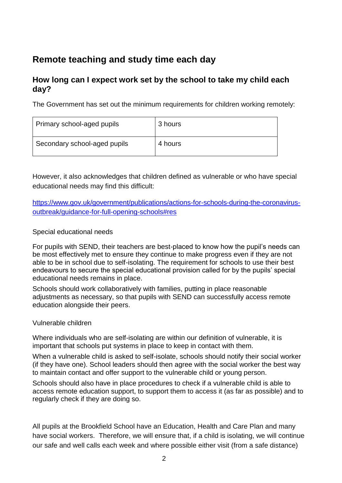# **Remote teaching and study time each day**

#### **How long can I expect work set by the school to take my child each day?**

The Government has set out the minimum requirements for children working remotely:

| Primary school-aged pupils   | 3 hours |
|------------------------------|---------|
| Secondary school-aged pupils | 4 hours |

However, it also acknowledges that children defined as vulnerable or who have special educational needs may find this difficult:

[https://www.gov.uk/government/publications/actions-for-schools-during-the-coronavirus](https://www.gov.uk/government/publications/actions-for-schools-during-the-coronavirus-outbreak/guidance-for-full-opening-schools#res)[outbreak/guidance-for-full-opening-schools#res](https://www.gov.uk/government/publications/actions-for-schools-during-the-coronavirus-outbreak/guidance-for-full-opening-schools#res)

#### Special educational needs

For pupils with SEND, their teachers are best-placed to know how the pupil's needs can be most effectively met to ensure they continue to make progress even if they are not able to be in school due to self-isolating. The requirement for schools to use their best endeavours to secure the special educational provision called for by the pupils' special educational needs remains in place.

Schools should work collaboratively with families, putting in place reasonable adjustments as necessary, so that pupils with SEND can successfully access remote education alongside their peers.

#### Vulnerable children

Where individuals who are self-isolating are within our definition of vulnerable, it is important that schools put systems in place to keep in contact with them.

When a vulnerable child is asked to self-isolate, schools should notify their social worker (if they have one). School leaders should then agree with the social worker the best way to maintain contact and offer support to the vulnerable child or young person.

Schools should also have in place procedures to check if a vulnerable child is able to access remote education support, to support them to access it (as far as possible) and to regularly check if they are doing so.

All pupils at the Brookfield School have an Education, Health and Care Plan and many have social workers. Therefore, we will ensure that, if a child is isolating, we will continue our safe and well calls each week and where possible either visit (from a safe distance)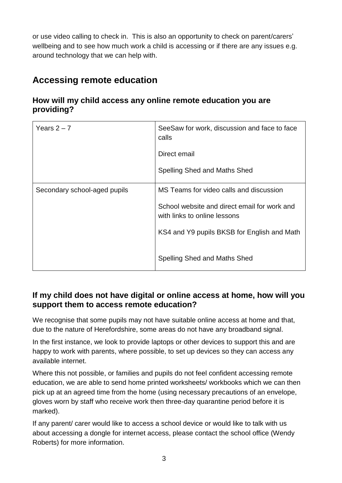or use video calling to check in. This is also an opportunity to check on parent/carers' wellbeing and to see how much work a child is accessing or if there are any issues e.g. around technology that we can help with.

# **Accessing remote education**

#### **How will my child access any online remote education you are providing?**

| Years $2 - 7$                | SeeSaw for work, discussion and face to face<br>calls                        |
|------------------------------|------------------------------------------------------------------------------|
|                              | Direct email                                                                 |
|                              | Spelling Shed and Maths Shed                                                 |
| Secondary school-aged pupils | MS Teams for video calls and discussion                                      |
|                              | School website and direct email for work and<br>with links to online lessons |
|                              | KS4 and Y9 pupils BKSB for English and Math                                  |
|                              | Spelling Shed and Maths Shed                                                 |

### **If my child does not have digital or online access at home, how will you support them to access remote education?**

We recognise that some pupils may not have suitable online access at home and that, due to the nature of Herefordshire, some areas do not have any broadband signal.

In the first instance, we look to provide laptops or other devices to support this and are happy to work with parents, where possible, to set up devices so they can access any available internet.

Where this not possible, or families and pupils do not feel confident accessing remote education, we are able to send home printed worksheets/ workbooks which we can then pick up at an agreed time from the home (using necessary precautions of an envelope, gloves worn by staff who receive work then three-day quarantine period before it is marked).

If any parent/ carer would like to access a school device or would like to talk with us about accessing a dongle for internet access, please contact the school office (Wendy Roberts) for more information.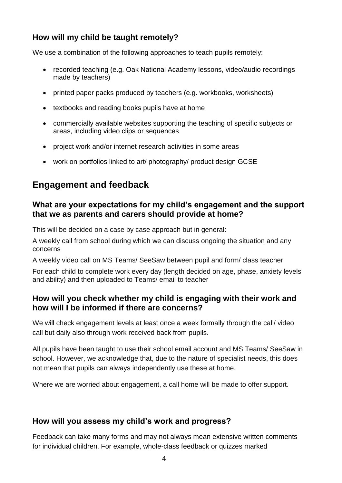### **How will my child be taught remotely?**

We use a combination of the following approaches to teach pupils remotely:

- recorded teaching (e.g. Oak National Academy lessons, video/audio recordings made by teachers)
- printed paper packs produced by teachers (e.g. workbooks, worksheets)
- textbooks and reading books pupils have at home
- commercially available websites supporting the teaching of specific subjects or areas, including video clips or sequences
- project work and/or internet research activities in some areas
- work on portfolios linked to art/ photography/ product design GCSE

### **Engagement and feedback**

#### **What are your expectations for my child's engagement and the support that we as parents and carers should provide at home?**

This will be decided on a case by case approach but in general:

A weekly call from school during which we can discuss ongoing the situation and any concerns

A weekly video call on MS Teams/ SeeSaw between pupil and form/ class teacher

For each child to complete work every day (length decided on age, phase, anxiety levels and ability) and then uploaded to Teams/ email to teacher

#### **How will you check whether my child is engaging with their work and how will I be informed if there are concerns?**

We will check engagement levels at least once a week formally through the call/ video call but daily also through work received back from pupils.

All pupils have been taught to use their school email account and MS Teams/ SeeSaw in school. However, we acknowledge that, due to the nature of specialist needs, this does not mean that pupils can always independently use these at home.

Where we are worried about engagement, a call home will be made to offer support.

#### **How will you assess my child's work and progress?**

Feedback can take many forms and may not always mean extensive written comments for individual children. For example, whole-class feedback or quizzes marked